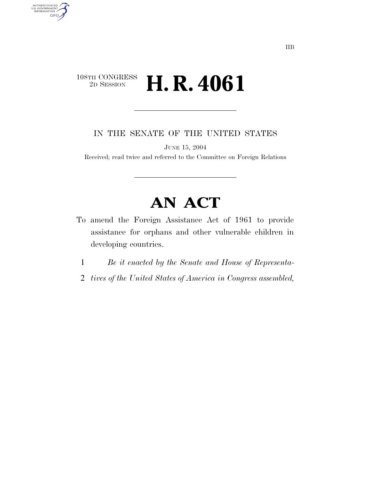### $\begin{array}{c} \textbf{108TH CONGRESS} \\ \textbf{2D SESION} \end{array}$ 2D SESSION **H. R. 4061**

AUTHENTICATED<br>U.S. GOVERNMENT<br>INFORMATION

**GPO** 

IN THE SENATE OF THE UNITED STATES

JUNE 15, 2004

Received; read twice and referred to the Committee on Foreign Relations

# **AN ACT**

- To amend the Foreign Assistance Act of 1961 to provide assistance for orphans and other vulnerable children in developing countries.
	- 1 *Be it enacted by the Senate and House of Representa-*
	- 2 *tives of the United States of America in Congress assembled,*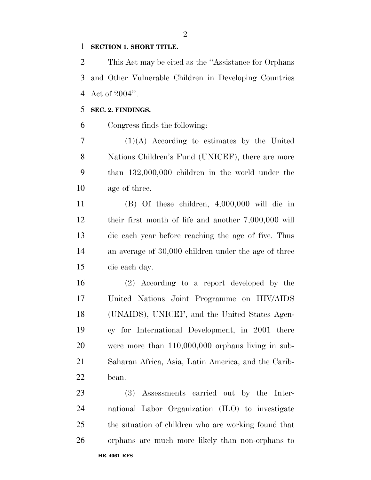#### **SECTION 1. SHORT TITLE.**

 This Act may be cited as the ''Assistance for Orphans and Other Vulnerable Children in Developing Countries Act of 2004''.

### **SEC. 2. FINDINGS.**

Congress finds the following:

 (1)(A) According to estimates by the United Nations Children's Fund (UNICEF), there are more than 132,000,000 children in the world under the age of three.

 (B) Of these children, 4,000,000 will die in their first month of life and another 7,000,000 will die each year before reaching the age of five. Thus an average of 30,000 children under the age of three die each day.

 (2) According to a report developed by the United Nations Joint Programme on HIV/AIDS (UNAIDS), UNICEF, and the United States Agen- cy for International Development, in 2001 there were more than 110,000,000 orphans living in sub- Saharan Africa, Asia, Latin America, and the Carib-bean.

**HR 4061 RFS**  (3) Assessments carried out by the Inter- national Labor Organization (ILO) to investigate the situation of children who are working found that orphans are much more likely than non-orphans to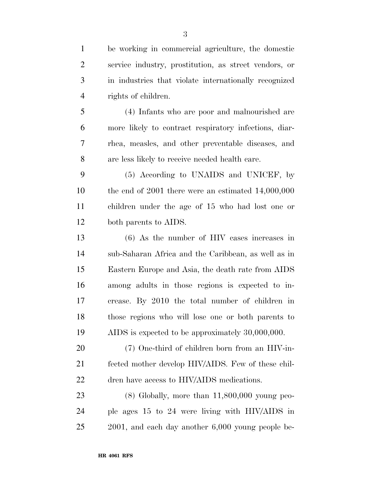| $\mathbf{1}$   | be working in commercial agriculture, the domestic     |
|----------------|--------------------------------------------------------|
| $\overline{2}$ | service industry, prostitution, as street vendors, or  |
| 3              | in industries that violate internationally recognized  |
| $\overline{4}$ | rights of children.                                    |
| 5              | (4) Infants who are poor and malnourished are          |
| 6              | more likely to contract respiratory infections, diar-  |
| 7              | rhea, measles, and other preventable diseases, and     |
| 8              | are less likely to receive needed health care.         |
| 9              | (5) According to UNAIDS and UNICEF, by                 |
| 10             | the end of $2001$ there were an estimated $14,000,000$ |
| 11             | children under the age of 15 who had lost one or       |
| 12             | both parents to AIDS.                                  |
| 13             | $(6)$ As the number of HIV cases increases in          |
| 14             | sub-Saharan Africa and the Caribbean, as well as in    |
| 15             | Eastern Europe and Asia, the death rate from AIDS      |
| 16             | among adults in those regions is expected to in-       |
| 17             | crease. By 2010 the total number of children in        |
| 18             | those regions who will lose one or both parents to     |
| 19             | AIDS is expected to be approximately 30,000,000.       |
| 20             | (7) One-third of children born from an HIV-in-         |
| 21             | fected mother develop HIV/AIDS. Few of these chil-     |
| 22             | dren have access to HIV/AIDS medications.              |
| 23             | $(8)$ Globally, more than $11,800,000$ young peo-      |
| 24             | ple ages 15 to 24 were living with HIV/AIDS in         |

2001, and each day another 6,000 young people be-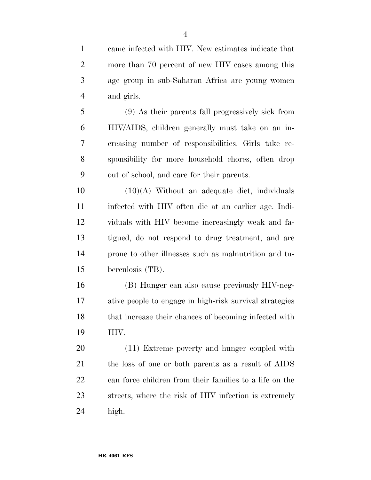came infected with HIV. New estimates indicate that more than 70 percent of new HIV cases among this age group in sub-Saharan Africa are young women and girls.

 (9) As their parents fall progressively sick from HIV/AIDS, children generally must take on an in- creasing number of responsibilities. Girls take re- sponsibility for more household chores, often drop out of school, and care for their parents.

  $(10)(A)$  Without an adequate diet, individuals infected with HIV often die at an earlier age. Indi- viduals with HIV become increasingly weak and fa- tigued, do not respond to drug treatment, and are prone to other illnesses such as malnutrition and tu-berculosis (TB).

 (B) Hunger can also cause previously HIV-neg- ative people to engage in high-risk survival strategies that increase their chances of becoming infected with HIV.

 (11) Extreme poverty and hunger coupled with the loss of one or both parents as a result of AIDS can force children from their families to a life on the streets, where the risk of HIV infection is extremely high.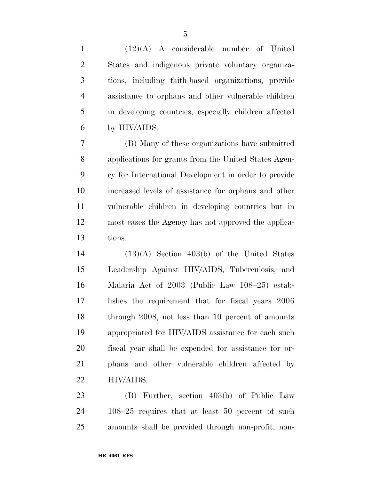(12)(A) A considerable number of United States and indigenous private voluntary organiza- tions, including faith-based organizations, provide assistance to orphans and other vulnerable children in developing countries, especially children affected by HIV/AIDS.

 (B) Many of these organizations have submitted applications for grants from the United States Agen- cy for International Development in order to provide increased levels of assistance for orphans and other vulnerable children in developing countries but in most cases the Agency has not approved the applica-tions.

 (13)(A) Section 403(b) of the United States Leadership Against HIV/AIDS, Tuberculosis, and Malaria Act of 2003 (Public Law 108–25) estab- lishes the requirement that for fiscal years 2006 18 through 2008, not less than 10 percent of amounts appropriated for HIV/AIDS assistance for each such fiscal year shall be expended for assistance for or- phans and other vulnerable children affected by HIV/AIDS.

 (B) Further, section 403(b) of Public Law 108–25 requires that at least 50 percent of such amounts shall be provided through non-profit, non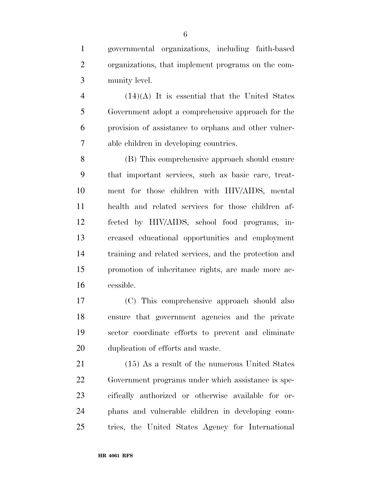governmental organizations, including faith-based organizations, that implement programs on the com-munity level.

 (14)(A) It is essential that the United States Government adopt a comprehensive approach for the provision of assistance to orphans and other vulner-able children in developing countries.

 (B) This comprehensive approach should ensure that important services, such as basic care, treat- ment for those children with HIV/AIDS, mental health and related services for those children af- fected by HIV/AIDS, school food programs, in- creased educational opportunities and employment training and related services, and the protection and promotion of inheritance rights, are made more ac-cessible.

 (C) This comprehensive approach should also ensure that government agencies and the private sector coordinate efforts to prevent and eliminate duplication of efforts and waste.

 (15) As a result of the numerous United States Government programs under which assistance is spe- cifically authorized or otherwise available for or- phans and vulnerable children in developing coun-tries, the United States Agency for International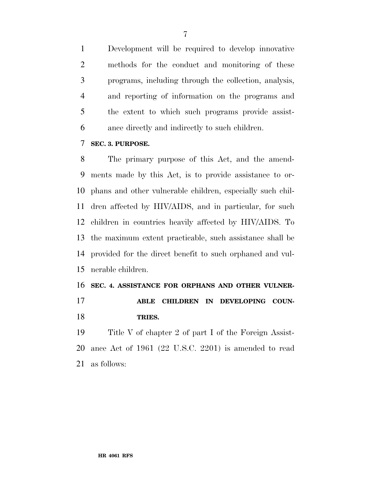Development will be required to develop innovative methods for the conduct and monitoring of these programs, including through the collection, analysis, and reporting of information on the programs and the extent to which such programs provide assist-ance directly and indirectly to such children.

### **SEC. 3. PURPOSE.**

 The primary purpose of this Act, and the amend- ments made by this Act, is to provide assistance to or- phans and other vulnerable children, especially such chil- dren affected by HIV/AIDS, and in particular, for such children in countries heavily affected by HIV/AIDS. To the maximum extent practicable, such assistance shall be provided for the direct benefit to such orphaned and vul-nerable children.

## **SEC. 4. ASSISTANCE FOR ORPHANS AND OTHER VULNER-**

### **ABLE CHILDREN IN DEVELOPING COUN-TRIES.**

 Title V of chapter 2 of part I of the Foreign Assist- ance Act of 1961 (22 U.S.C. 2201) is amended to read as follows: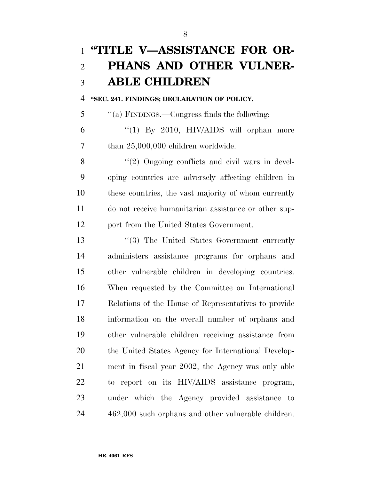## **''TITLE V—ASSISTANCE FOR OR- PHANS AND OTHER VULNER-ABLE CHILDREN**

### **''SEC. 241. FINDINGS; DECLARATION OF POLICY.**

''(a) FINDINGS.—Congress finds the following:

 "(1) By 2010, HIV/AIDS will orphan more than 25,000,000 children worldwide.

8 "(2) Ongoing conflicts and civil wars in devel- oping countries are adversely affecting children in these countries, the vast majority of whom currently do not receive humanitarian assistance or other sup-port from the United States Government.

13 ''(3) The United States Government currently administers assistance programs for orphans and other vulnerable children in developing countries. When requested by the Committee on International Relations of the House of Representatives to provide information on the overall number of orphans and other vulnerable children receiving assistance from the United States Agency for International Develop- ment in fiscal year 2002, the Agency was only able to report on its HIV/AIDS assistance program, under which the Agency provided assistance to 462,000 such orphans and other vulnerable children.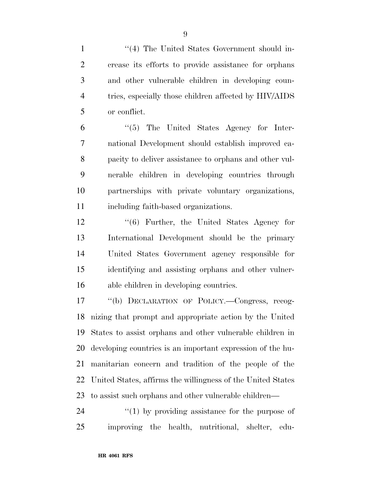1 ''(4) The United States Government should in- crease its efforts to provide assistance for orphans and other vulnerable children in developing coun- tries, especially those children affected by HIV/AIDS or conflict.

 ''(5) The United States Agency for Inter- national Development should establish improved ca- pacity to deliver assistance to orphans and other vul- nerable children in developing countries through partnerships with private voluntary organizations, including faith-based organizations.

 ''(6) Further, the United States Agency for International Development should be the primary United States Government agency responsible for identifying and assisting orphans and other vulner-able children in developing countries.

 ''(b) DECLARATION OF POLICY.—Congress, recog- nizing that prompt and appropriate action by the United States to assist orphans and other vulnerable children in developing countries is an important expression of the hu- manitarian concern and tradition of the people of the United States, affirms the willingness of the United States to assist such orphans and other vulnerable children—

24  $\frac{1}{2}$  (1) by providing assistance for the purpose of improving the health, nutritional, shelter, edu-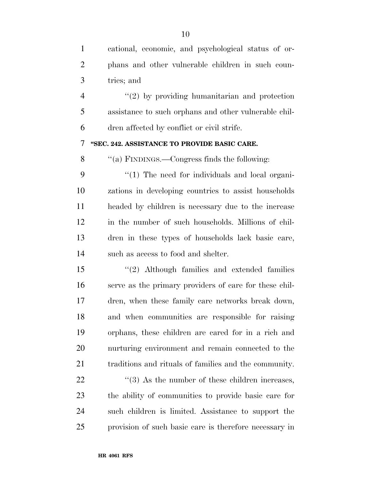| $\mathbf{1}$   | cational, economic, and psychological status of or-             |
|----------------|-----------------------------------------------------------------|
| $\overline{2}$ | phans and other vulnerable children in such coun-               |
| 3              | tries; and                                                      |
| $\overline{4}$ | $\lq(2)$ by providing humanitarian and protection               |
| 5              | assistance to such orphans and other vulnerable chil-           |
| 6              | dren affected by conflict or civil strife.                      |
| 7              | "SEC. 242. ASSISTANCE TO PROVIDE BASIC CARE.                    |
| 8              | "(a) FINDINGS.—Congress finds the following:                    |
| 9              | $\lq(1)$ The need for individuals and local organi-             |
| 10             | zations in developing countries to assist households            |
| 11             | headed by children is necessary due to the increase             |
| 12             | in the number of such households. Millions of chil-             |
| 13             | dren in these types of households lack basic care,              |
| 14             | such as access to food and shelter.                             |
| 15             | $"(2)$ Although families and extended families                  |
| 16             | serve as the primary providers of care for these chil-          |
| 17             | dren, when these family care networks break down,               |
| 18             | and when communities are responsible for raising                |
| 19             | orphans, these children are cared for in a rich and             |
| 20             | nurturing environment and remain connected to the               |
| 21             | traditions and rituals of families and the community.           |
| 22             | $\cdot\cdot\cdot(3)$ As the number of these children increases, |
| 23             | the ability of communities to provide basic care for            |
| 24             | such children is limited. Assistance to support the             |
| 25             | provision of such basic care is therefore necessary in          |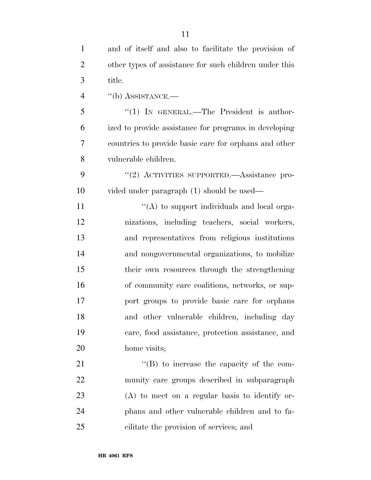| $\mathbf{1}$   | and of itself and also to facilitate the provision of  |
|----------------|--------------------------------------------------------|
| $\overline{2}$ | other types of assistance for such children under this |
| 3              | title.                                                 |
| $\overline{4}$ | $``$ (b) ASSISTANCE.—                                  |
| 5              | " $(1)$ IN GENERAL.—The President is author-           |
| 6              | ized to provide assistance for programs in developing  |
| $\overline{7}$ | countries to provide basic care for orphans and other  |
| 8              | vulnerable children.                                   |
| 9              | "(2) ACTIVITIES SUPPORTED.—Assistance pro-             |
| 10             | vided under paragraph (1) should be used—              |
| 11             | "(A) to support individuals and local orga-            |
| 12             | nizations, including teachers, social workers,         |
| 13             | and representatives from religious institutions        |
| 14             | and nongovernmental organizations, to mobilize         |
| 15             | their own resources through the strengthening          |
| 16             | of community care coalitions, networks, or sup-        |
| 17             | port groups to provide basic care for orphans          |
| 18             | and other vulnerable children, including day           |
| 19             | care, food assistance, protection assistance, and      |
| 20             | home visits;                                           |
| 21             | $\lq\lq (B)$ to increase the capacity of the com-      |
| 22             | munity care groups described in subparagraph           |
| 23             | $(A)$ to meet on a regular basis to identify or-       |
| 24             | phans and other vulnerable children and to fa-         |
| 25             | cilitate the provision of services; and                |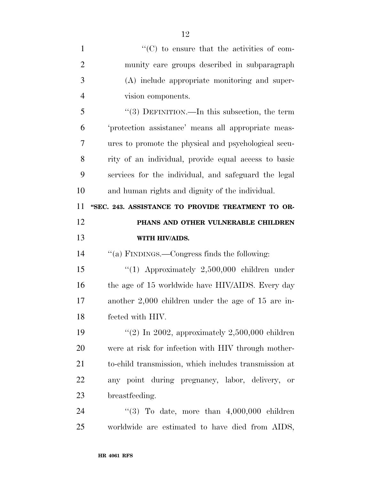| $\mathbf{1}$   | "(C) to ensure that the activities of com-            |
|----------------|-------------------------------------------------------|
| $\overline{2}$ | munity care groups described in subparagraph          |
| 3              | (A) include appropriate monitoring and super-         |
| $\overline{4}$ | vision components.                                    |
| 5              | "(3) DEFINITION.—In this subsection, the term         |
| 6              | 'protection assistance' means all appropriate meas-   |
| 7              | ures to promote the physical and psychological secu-  |
| 8              | rity of an individual, provide equal access to basic  |
| 9              | services for the individual, and safeguard the legal  |
| 10             | and human rights and dignity of the individual.       |
| 11             | "SEC. 243. ASSISTANCE TO PROVIDE TREATMENT TO OR-     |
| 12             | PHANS AND OTHER VULNERABLE CHILDREN                   |
|                |                                                       |
| 13             | WITH HIV/AIDS.                                        |
| 14             | "(a) FINDINGS.—Congress finds the following:          |
| 15             | " $(1)$ Approximately 2,500,000 children under        |
| 16             | the age of 15 worldwide have HIV/AIDS. Every day      |
| 17             | another $2,000$ children under the age of 15 are in-  |
| 18             | fected with HIV.                                      |
| 19             | "(2) In 2002, approximately $2,500,000$ children      |
| 20             | were at risk for infection with HIV through mother-   |
| 21             | to-child transmission, which includes transmission at |
| 22             | any point during pregnancy, labor, delivery,<br>or    |
| 23             | breastfeeding.                                        |
| 24             | "(3) To date, more than $4,000,000$ children          |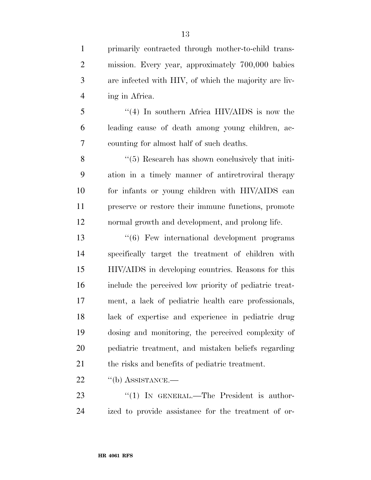primarily contracted through mother-to-child trans- mission. Every year, approximately 700,000 babies are infected with HIV, of which the majority are liv-ing in Africa.

 ''(4) In southern Africa HIV/AIDS is now the leading cause of death among young children, ac-counting for almost half of such deaths.

8 "(5) Research has shown conclusively that initi- ation in a timely manner of antiretroviral therapy for infants or young children with HIV/AIDS can preserve or restore their immune functions, promote normal growth and development, and prolong life.

 ''(6) Few international development programs specifically target the treatment of children with HIV/AIDS in developing countries. Reasons for this include the perceived low priority of pediatric treat- ment, a lack of pediatric health care professionals, lack of expertise and experience in pediatric drug dosing and monitoring, the perceived complexity of pediatric treatment, and mistaken beliefs regarding the risks and benefits of pediatric treatment.

22 "(b) ASSISTANCE.—

23 "(1) IN GENERAL.—The President is author-ized to provide assistance for the treatment of or-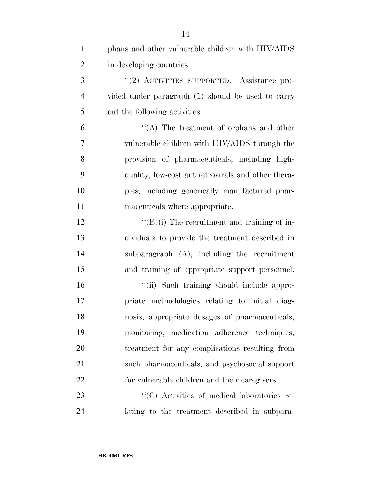| $\mathbf{1}$   | phans and other vulnerable children with HIV/AIDS   |
|----------------|-----------------------------------------------------|
| $\overline{2}$ | in developing countries.                            |
| 3              | "(2) ACTIVITIES SUPPORTED.—Assistance pro-          |
| $\overline{4}$ | vided under paragraph (1) should be used to carry   |
| 5              | out the following activities:                       |
| 6              | "(A) The treatment of orphans and other             |
| 7              | vulnerable children with HIV/AIDS through the       |
| 8              | provision of pharmaceuticals, including high-       |
| 9              | quality, low-cost antiretrovirals and other thera-  |
| 10             | pies, including generically manufactured phar-      |
| 11             | maceuticals where appropriate.                      |
| 12             | $\lq\lq (B)(i)$ The recruitment and training of in- |
| 13             | dividuals to provide the treatment described in     |
| 14             | subparagraph $(A)$ , including the recruitment      |
| 15             | and training of appropriate support personnel.      |
| 16             | "(ii) Such training should include appro-           |
| 17             | priate methodologies relating to initial diag-      |
| 18             | nosis, appropriate dosages of pharmaceuticals,      |
| 19             | monitoring, medication adherence techniques,        |
| 20             | treatment for any complications resulting from      |
| 21             | such pharmaceuticals, and psychosocial support      |
| 22             | for vulnerable children and their caregivers.       |
| 23             | "(C) Activities of medical laboratories re-         |
| 24             | lating to the treatment described in subpara-       |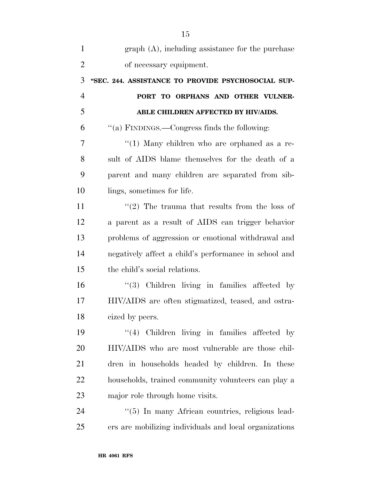| $\mathbf{1}$   | $graph(A)$ , including assistance for the purchase     |
|----------------|--------------------------------------------------------|
| $\overline{2}$ | of necessary equipment.                                |
| 3              | "SEC. 244. ASSISTANCE TO PROVIDE PSYCHOSOCIAL SUP-     |
| $\overline{4}$ | PORT TO ORPHANS AND OTHER VULNER-                      |
| 5              | ABLE CHILDREN AFFECTED BY HIV/AIDS.                    |
| 6              | "(a) FINDINGS.—Congress finds the following:           |
| 7              | " $(1)$ Many children who are orphaned as a re-        |
| 8              | sult of AIDS blame themselves for the death of a       |
| 9              | parent and many children are separated from sib-       |
| 10             | lings, sometimes for life.                             |
| 11             | $\lq(2)$ The trauma that results from the loss of      |
| 12             | a parent as a result of AIDS can trigger behavior      |
| 13             | problems of aggression or emotional withdrawal and     |
| 14             | negatively affect a child's performance in school and  |
| 15             | the child's social relations.                          |
| 16             | $(3)$ Children living in families affected by          |
| 17             | HIV/AIDS are often stigmatized, teased, and ostra-     |
| 18             | cized by peers.                                        |
| 19             | $\lq(4)$ Children living in families affected by       |
| 20             | HIV/AIDS who are most vulnerable are those chil-       |
| 21             | dren in households headed by children. In these        |
| 22             | households, trained community volunteers can play a    |
| 23             | major role through home visits.                        |
| 24             | "(5) In many African countries, religious lead-        |
| 25             | ers are mobilizing individuals and local organizations |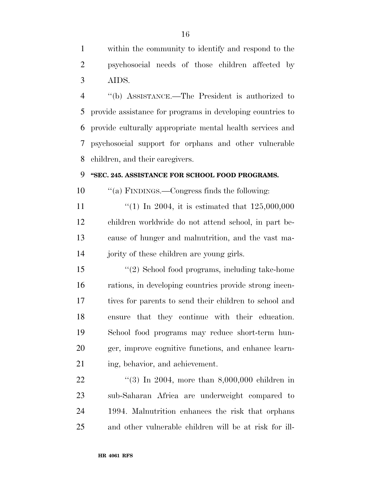within the community to identify and respond to the psychosocial needs of those children affected by AIDS.

 ''(b) ASSISTANCE.—The President is authorized to provide assistance for programs in developing countries to provide culturally appropriate mental health services and psychosocial support for orphans and other vulnerable children, and their caregivers.

### **''SEC. 245. ASSISTANCE FOR SCHOOL FOOD PROGRAMS.**

''(a) FINDINGS.—Congress finds the following:

 $\frac{1}{1}$  (1) In 2004, it is estimated that 125,000,000 children worldwide do not attend school, in part be- cause of hunger and malnutrition, and the vast ma-jority of these children are young girls.

 ''(2) School food programs, including take-home rations, in developing countries provide strong incen- tives for parents to send their children to school and ensure that they continue with their education. School food programs may reduce short-term hun- ger, improve cognitive functions, and enhance learn-21 ing, behavior, and achievement.

22 ''(3) In 2004, more than 8,000,000 children in sub-Saharan Africa are underweight compared to 1994. Malnutrition enhances the risk that orphans and other vulnerable children will be at risk for ill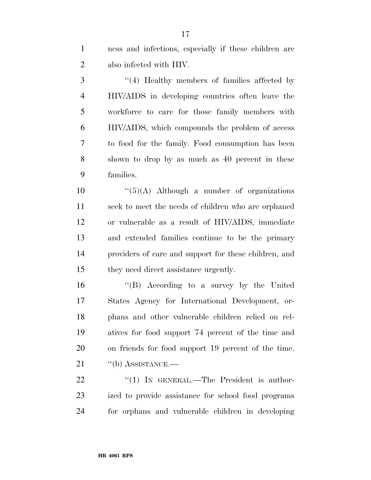ness and infections, especially if these children are also infected with HIV.

 ''(4) Healthy members of families affected by HIV/AIDS in developing countries often leave the workforce to care for those family members with HIV/AIDS, which compounds the problem of access to food for the family. Food consumption has been shown to drop by as much as 40 percent in these families.

 $\frac{10}{5}(A)$  Although a number of organizations seek to meet the needs of children who are orphaned or vulnerable as a result of HIV/AIDS, immediate and extended families continue to be the primary providers of care and support for these children, and they need direct assistance urgently.

 ''(B) According to a survey by the United States Agency for International Development, or- phans and other vulnerable children relied on rel- atives for food support 74 percent of the time and on friends for food support 19 percent of the time. 21 "(b) ASSISTANCE.—

22 "(1) IN GENERAL.—The President is author- ized to provide assistance for school food programs for orphans and vulnerable children in developing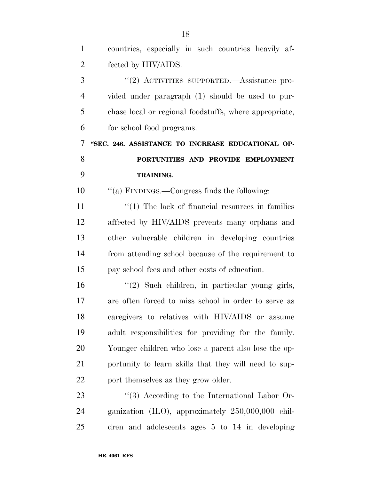| $\mathbf{1}$   | countries, especially in such countries heavily af-     |
|----------------|---------------------------------------------------------|
| $\overline{2}$ | fected by HIV/AIDS.                                     |
| 3              | "(2) ACTIVITIES SUPPORTED.—Assistance pro-              |
| $\overline{4}$ | vided under paragraph (1) should be used to pur-        |
| 5              | chase local or regional foodstuffs, where appropriate,  |
| 6              | for school food programs.                               |
| 7              | "SEC. 246. ASSISTANCE TO INCREASE EDUCATIONAL OP-       |
| 8              | PORTUNITIES AND PROVIDE EMPLOYMENT                      |
| 9              | <b>TRAINING.</b>                                        |
| 10             | "(a) FINDINGS.—Congress finds the following:            |
| 11             | $\lq(1)$ The lack of financial resources in families    |
| 12             | affected by HIV/AIDS prevents many orphans and          |
| 13             | other vulnerable children in developing countries       |
| 14             | from attending school because of the requirement to     |
| 15             | pay school fees and other costs of education.           |
| 16             | $\lq(2)$ Such children, in particular young girls,      |
| 17             | are often forced to miss school in order to serve as    |
| 18             | caregivers to relatives with HIV/AIDS or assume         |
| 19             | adult responsibilities for providing for the family.    |
| 20             | Younger children who lose a parent also lose the op-    |
| 21             | portunity to learn skills that they will need to sup-   |
| 22             | port themselves as they grow older.                     |
| 23             | $\lq(3)$ According to the International Labor Or-       |
| 24             | ganization $(II.0)$ , approximately $250,000,000$ chil- |
| 25             | dren and adolescents ages $5$ to $14$ in developing     |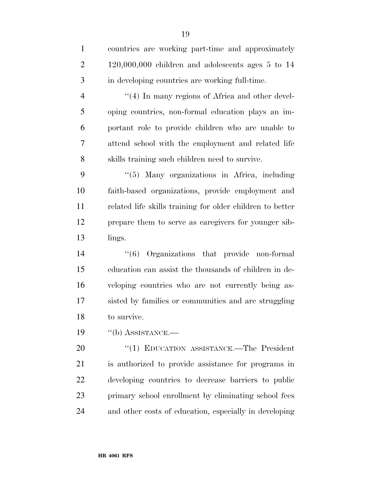| $\mathbf{1}$   | countries are working part-time and approximately         |
|----------------|-----------------------------------------------------------|
| $\overline{2}$ | $120,000,000$ children and adolescents ages 5 to 14       |
| 3              | in developing countries are working full-time.            |
| $\overline{4}$ | $\lq(4)$ In many regions of Africa and other devel-       |
| 5              | oping countries, non-formal education plays an im-        |
| 6              | portant role to provide children who are unable to        |
| 7              | attend school with the employment and related life        |
| 8              | skills training such children need to survive.            |
| 9              | "(5) Many organizations in Africa, including              |
| 10             | faith-based organizations, provide employment and         |
| 11             | related life skills training for older children to better |
| 12             | prepare them to serve as caregivers for younger sib-      |
| 13             | lings.                                                    |
| 14             | $(6)$ Organizations that provide non-formal               |
| 15             | education can assist the thousands of children in de-     |
| 16             | veloping countries who are not currently being as-        |
| 17             | sisted by families or communities and are struggling      |
| 18             | to survive.                                               |
| 19             | $\lq\lq(b)$ ASSISTANCE.—                                  |
| 20             | "(1) EDUCATION ASSISTANCE.-The President                  |
| 21             | is authorized to provide assistance for programs in       |
| 22             | developing countries to decrease barriers to public       |
| 23             | primary school enrollment by eliminating school fees      |
| 24             | and other costs of education, especially in developing    |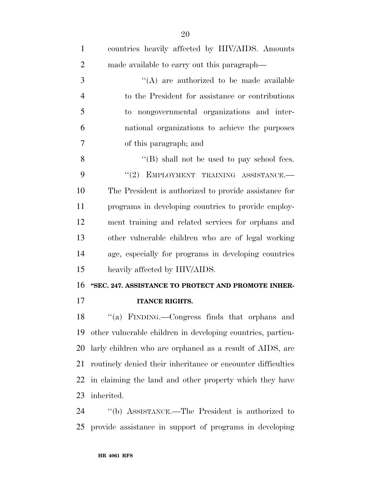| $\mathbf{1}$   | countries heavily affected by HIV/AIDS. Amounts              |
|----------------|--------------------------------------------------------------|
| $\overline{2}$ | made available to carry out this paragraph—                  |
| 3              | "(A) are authorized to be made available                     |
| $\overline{4}$ | to the President for assistance or contributions             |
| 5              | to nongovernmental organizations and inter-                  |
| 6              | national organizations to achieve the purposes               |
| 7              | of this paragraph; and                                       |
| 8              | "(B) shall not be used to pay school fees.                   |
| 9              | "(2) EMPLOYMENT TRAINING ASSISTANCE.-                        |
| 10             | The President is authorized to provide assistance for        |
| 11             | programs in developing countries to provide employ-          |
| 12             | ment training and related services for orphans and           |
| 13             | other vulnerable children who are of legal working           |
| 14             | age, especially for programs in developing countries         |
| 15             | heavily affected by HIV/AIDS.                                |
| 16             | "SEC. 247. ASSISTANCE TO PROTECT AND PROMOTE INHER-          |
| 17             | <b>ITANCE RIGHTS.</b>                                        |
| 18             | "(a) FINDING.—Congress finds that orphans and                |
| 19             | other vulnerable children in developing countries, particu-  |
| 20             | larly children who are orphaned as a result of AIDS, are     |
| 21             | routinely denied their inheritance or encounter difficulties |
| 22             | in claiming the land and other property which they have      |
| 23             | inherited.                                                   |
| 24             | "(b) ASSISTANCE.—The President is authorized to              |

 $2(6)$  ASSISTANCE.—The President is authorized to provide assistance in support of programs in developing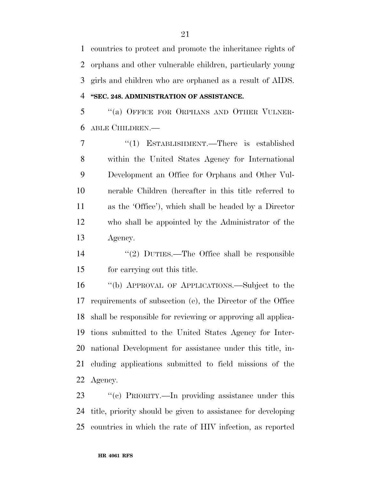countries to protect and promote the inheritance rights of orphans and other vulnerable children, particularly young girls and children who are orphaned as a result of AIDS. **''SEC. 248. ADMINISTRATION OF ASSISTANCE.** 

 ''(a) OFFICE FOR ORPHANS AND OTHER VULNER-ABLE CHILDREN.—

 ''(1) ESTABLISHMENT.—There is established within the United States Agency for International Development an Office for Orphans and Other Vul- nerable Children (hereafter in this title referred to as the 'Office'), which shall be headed by a Director who shall be appointed by the Administrator of the Agency.

 ''(2) DUTIES.—The Office shall be responsible for carrying out this title.

 ''(b) APPROVAL OF APPLICATIONS.—Subject to the requirements of subsection (e), the Director of the Office shall be responsible for reviewing or approving all applica- tions submitted to the United States Agency for Inter- national Development for assistance under this title, in- cluding applications submitted to field missions of the Agency.

 ''(c) PRIORITY.—In providing assistance under this title, priority should be given to assistance for developing countries in which the rate of HIV infection, as reported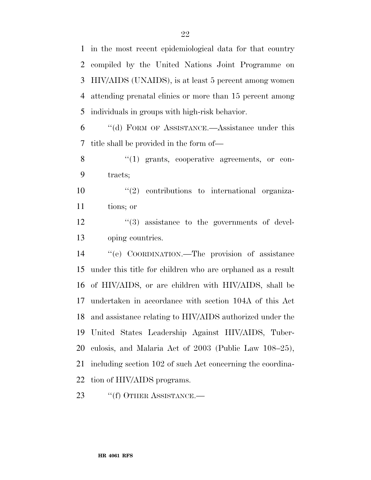in the most recent epidemiological data for that country compiled by the United Nations Joint Programme on HIV/AIDS (UNAIDS), is at least 5 percent among women attending prenatal clinics or more than 15 percent among individuals in groups with high-risk behavior.

 ''(d) FORM OF ASSISTANCE.—Assistance under this title shall be provided in the form of—

8 "(1) grants, cooperative agreements, or con-tracts;

10  $\frac{10}{2}$  contributions to international organiza-tions; or

12  $\frac{12}{3}$  assistance to the governments of devel-oping countries.

 ''(e) COORDINATION.—The provision of assistance under this title for children who are orphaned as a result of HIV/AIDS, or are children with HIV/AIDS, shall be undertaken in accordance with section 104A of this Act and assistance relating to HIV/AIDS authorized under the United States Leadership Against HIV/AIDS, Tuber- culosis, and Malaria Act of 2003 (Public Law 108–25), including section 102 of such Act concerning the coordina-tion of HIV/AIDS programs.

23 "(f) OTHER ASSISTANCE.—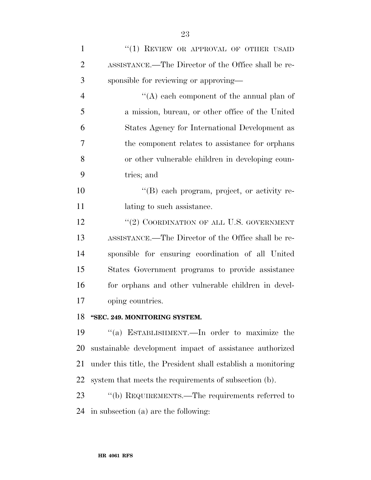| $\mathbf{1}$   | "(1) REVIEW OR APPROVAL OF OTHER USAID                                                                                                                                                                                                                                                                                                                                                                |
|----------------|-------------------------------------------------------------------------------------------------------------------------------------------------------------------------------------------------------------------------------------------------------------------------------------------------------------------------------------------------------------------------------------------------------|
| $\overline{2}$ | ASSISTANCE.—The Director of the Office shall be re-                                                                                                                                                                                                                                                                                                                                                   |
| 3              | sponsible for reviewing or approving—                                                                                                                                                                                                                                                                                                                                                                 |
| $\overline{4}$ | "(A) each component of the annual plan of                                                                                                                                                                                                                                                                                                                                                             |
| 5              | a mission, bureau, or other office of the United                                                                                                                                                                                                                                                                                                                                                      |
| 6              | States Agency for International Development as                                                                                                                                                                                                                                                                                                                                                        |
| $\overline{7}$ | the component relates to assistance for orphans                                                                                                                                                                                                                                                                                                                                                       |
| 8              | or other vulnerable children in developing coun-                                                                                                                                                                                                                                                                                                                                                      |
| 9              | tries; and                                                                                                                                                                                                                                                                                                                                                                                            |
| 10             | "(B) each program, project, or activity re-                                                                                                                                                                                                                                                                                                                                                           |
| 11             | lating to such assistance.                                                                                                                                                                                                                                                                                                                                                                            |
| 12             | "(2) COORDINATION OF ALL U.S. GOVERNMENT                                                                                                                                                                                                                                                                                                                                                              |
| 13             | ASSISTANCE.—The Director of the Office shall be re-                                                                                                                                                                                                                                                                                                                                                   |
| 14             | sponsible for ensuring coordination of all United                                                                                                                                                                                                                                                                                                                                                     |
| 15             | States Government programs to provide assistance                                                                                                                                                                                                                                                                                                                                                      |
| 16             | for orphans and other vulnerable children in devel-                                                                                                                                                                                                                                                                                                                                                   |
| 17             | oping countries.                                                                                                                                                                                                                                                                                                                                                                                      |
| 18             | "SEC. 249. MONITORING SYSTEM.                                                                                                                                                                                                                                                                                                                                                                         |
| 1 <sub>0</sub> | $\mathcal{L}_{\mathcal{L}}$ = $\mathcal{L}_{\mathcal{L}}$ = $\mathcal{L}_{\mathcal{L}}$ = $\mathcal{L}_{\mathcal{L}}$ = $\mathcal{L}_{\mathcal{L}}$ = $\mathcal{L}_{\mathcal{L}}$ = $\mathcal{L}_{\mathcal{L}}$ = $\mathcal{L}_{\mathcal{L}}$ = $\mathcal{L}_{\mathcal{L}}$ = $\mathcal{L}_{\mathcal{L}}$ = $\mathcal{L}_{\mathcal{L}}$ = $\mathcal{L}_{\mathcal{L}}$ = $\mathcal{L}_{\mathcal{L}}$ = |

 ''(a) ESTABLISHMENT.—In order to maximize the sustainable development impact of assistance authorized under this title, the President shall establish a monitoring system that meets the requirements of subsection (b).

23 "(b) REQUIREMENTS.—The requirements referred to in subsection (a) are the following: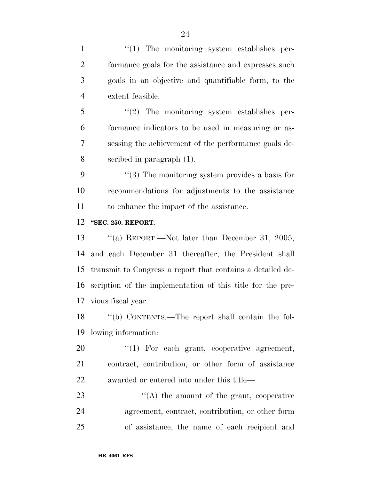$\frac{1}{1}$  The monitoring system establishes per- formance goals for the assistance and expresses such goals in an objective and quantifiable form, to the extent feasible. ''(2) The monitoring system establishes per- formance indicators to be used in measuring or as- sessing the achievement of the performance goals de- scribed in paragraph (1). ''(3) The monitoring system provides a basis for recommendations for adjustments to the assistance to enhance the impact of the assistance. **''SEC. 250. REPORT.**  ''(a) REPORT.—Not later than December 31, 2005, and each December 31 thereafter, the President shall transmit to Congress a report that contains a detailed de- scription of the implementation of this title for the pre-vious fiscal year.

 ''(b) CONTENTS.—The report shall contain the fol-lowing information:

20  $\frac{1}{20}$  For each grant, cooperative agreement, contract, contribution, or other form of assistance awarded or entered into under this title—

23 ''(A) the amount of the grant, cooperative agreement, contract, contribution, or other form of assistance, the name of each recipient and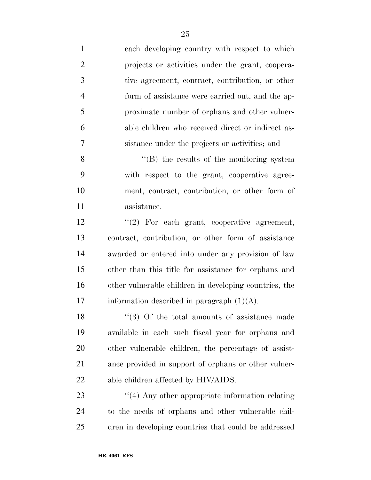| $\mathbf{1}$   | each developing country with respect to which          |
|----------------|--------------------------------------------------------|
| $\mathbf{2}$   | projects or activities under the grant, coopera-       |
| 3              | tive agreement, contract, contribution, or other       |
| $\overline{4}$ | form of assistance were carried out, and the ap-       |
| 5              | proximate number of orphans and other vulner-          |
| 6              | able children who received direct or indirect as-      |
| 7              | sistance under the projects or activities; and         |
| 8              | $\lq\lq (B)$ the results of the monitoring system      |
| 9              | with respect to the grant, cooperative agree-          |
| 10             | ment, contract, contribution, or other form of         |
| 11             | assistance.                                            |
| 12             | $\lq(2)$ For each grant, cooperative agreement,        |
| 13             | contract, contribution, or other form of assistance    |
| 14             | awarded or entered into under any provision of law     |
| 15             | other than this title for assistance for orphans and   |
| 16             | other vulnerable children in developing countries, the |
| 17             | information described in paragraph $(1)(A)$ .          |
| 18             | $\lq(3)$ Of the total amounts of assistance made       |
| 19             | available in each such fiscal year for orphans and     |
| 20             | other vulnerable children, the percentage of assist-   |
| 21             | ance provided in support of orphans or other vulner-   |
| 22             | able children affected by HIV/AIDS.                    |
| 23             | $\lq(4)$ Any other appropriate information relating    |
| 24             | to the needs of orphans and other vulnerable chil-     |
| 25             | dren in developing countries that could be addressed   |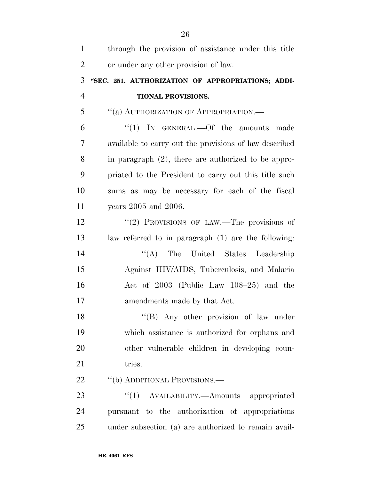| $\mathbf{1}$   | through the provision of assistance under this title   |
|----------------|--------------------------------------------------------|
| $\overline{2}$ | or under any other provision of law.                   |
| 3              | "SEC. 251. AUTHORIZATION OF APPROPRIATIONS; ADDI-      |
| $\overline{4}$ | TIONAL PROVISIONS.                                     |
| 5              | "(a) AUTHORIZATION OF APPROPRIATION.-                  |
| 6              | "(1) IN GENERAL.—Of the amounts made                   |
| 7              | available to carry out the provisions of law described |
| 8              | in paragraph (2), there are authorized to be appro-    |
| 9              | priated to the President to carry out this title such  |
| 10             | sums as may be necessary for each of the fiscal        |
| 11             | years 2005 and 2006.                                   |
| 12             | "(2) PROVISIONS OF LAW.—The provisions of              |
| 13             | law referred to in paragraph (1) are the following:    |
| 14             | "(A) The United States Leadership                      |
| 15             | Against HIV/AIDS, Tuberculosis, and Malaria            |
| 16             | Act of 2003 (Public Law 108-25) and the                |
| 17             | amendments made by that Act.                           |
| 18             | "(B) Any other provision of law under                  |
| 19             | which assistance is authorized for orphans and         |
| 20             | other vulnerable children in developing coun-          |
| 21             | tries.                                                 |
| 22             | "(b) ADDITIONAL PROVISIONS.—                           |
| 23             | "(1) AVAILABILITY.—Amounts appropriated                |
| 24             | pursuant to the authorization of appropriations        |
| 25             | under subsection (a) are authorized to remain avail-   |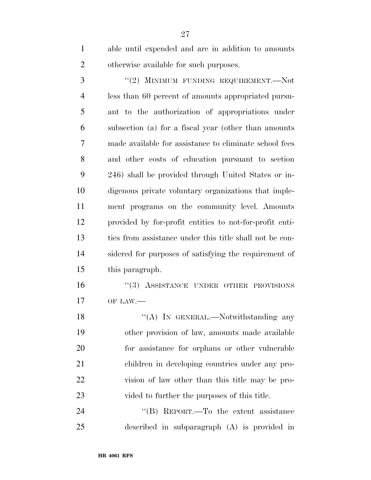able until expended and are in addition to amounts otherwise available for such purposes.

3 "(2) MINIMUM FUNDING REQUIREMENT.—Not less than 60 percent of amounts appropriated pursu- ant to the authorization of appropriations under subsection (a) for a fiscal year (other than amounts made available for assistance to eliminate school fees and other costs of education pursuant to section 246) shall be provided through United States or in- digenous private voluntary organizations that imple- ment programs on the community level. Amounts provided by for-profit entities to not-for-profit enti- ties from assistance under this title shall not be con- sidered for purposes of satisfying the requirement of this paragraph.

16 "(3) ASSISTANCE UNDER OTHER PROVISIONS OF LAW.—

18 "(A) In GENERAL.—Notwithstanding any other provision of law, amounts made available for assistance for orphans or other vulnerable children in developing countries under any pro- vision of law other than this title may be pro-23 vided to further the purposes of this title.

24 "(B) REPORT.—To the extent assistance described in subparagraph (A) is provided in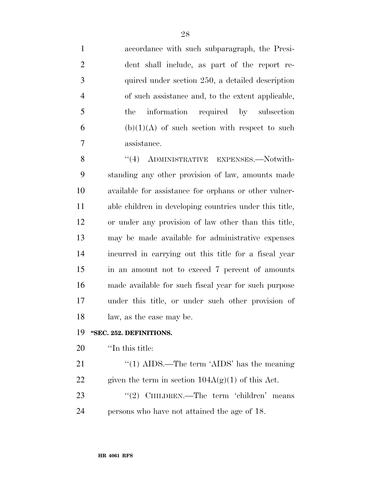accordance with such subparagraph, the Presi- dent shall include, as part of the report re- quired under section 250, a detailed description of such assistance and, to the extent applicable, the information required by subsection 6 (b)(1)(A) of such section with respect to such assistance.

8 "(4) ADMINISTRATIVE EXPENSES. Notwith- standing any other provision of law, amounts made available for assistance for orphans or other vulner- able children in developing countries under this title, or under any provision of law other than this title, may be made available for administrative expenses incurred in carrying out this title for a fiscal year in an amount not to exceed 7 percent of amounts made available for such fiscal year for such purpose under this title, or under such other provision of law, as the case may be.

#### **''SEC. 252. DEFINITIONS.**

### ''In this title:

21 ''(1) AIDS.—The term 'AIDS' has the meaning 22 given the term in section  $104A(g)(1)$  of this Act. 23 "(2) CHILDREN.—The term 'children' means

persons who have not attained the age of 18.